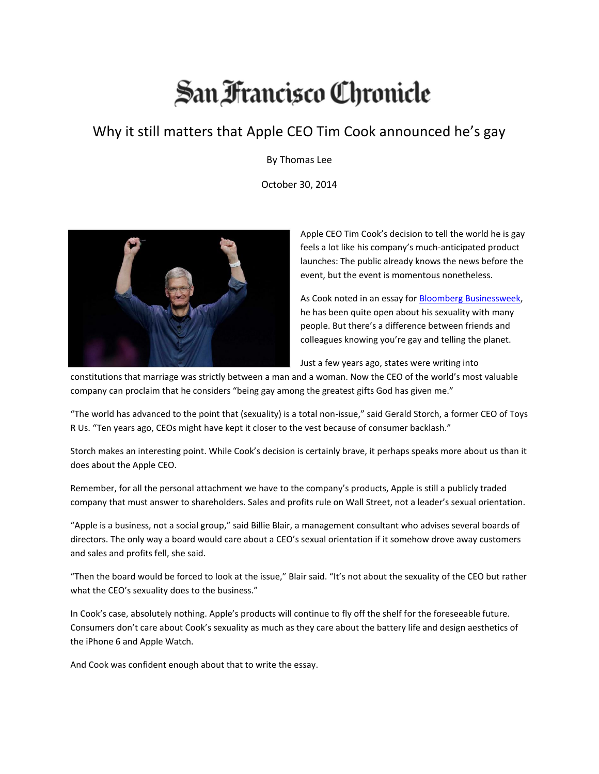## San Francisco Chronicle

## Why it still matters that Apple CEO Tim Cook announced he's gay

By Thomas Lee

October 30, 2014



Apple CEO Tim Cook's decision to tell the world he is gay feels a lot like his company's much-anticipated product launches: The public already knows the news before the event, but the event is momentous nonetheless.

As Cook noted in an essay for [Bloomberg Businessweek,](http://www.businessweek.com/articles/2014-10-30/tim-cook-im-proud-to-be-gay)  he has been quite open about his sexuality with many people. But there's a difference between friends and colleagues knowing you're gay and telling the planet.

Just a few years ago, states were writing into

constitutions that marriage was strictly between a man and a woman. Now the CEO of the world's most valuable company can proclaim that he considers "being gay among the greatest gifts God has given me."

"The world has advanced to the point that (sexuality) is a total non-issue," said Gerald Storch, a former CEO of Toys R Us. "Ten years ago, CEOs might have kept it closer to the vest because of consumer backlash."

Storch makes an interesting point. While Cook's decision is certainly brave, it perhaps speaks more about us than it does about the Apple CEO.

Remember, for all the personal attachment we have to the company's products, Apple is still a publicly traded company that must answer to shareholders. Sales and profits rule on Wall Street, not a leader's sexual orientation.

"Apple is a business, not a social group," said Billie Blair, a management consultant who advises several boards of directors. The only way a board would care about a CEO's sexual orientation if it somehow drove away customers and sales and profits fell, she said.

"Then the board would be forced to look at the issue," Blair said. "It's not about the sexuality of the CEO but rather what the CEO's sexuality does to the business."

In Cook's case, absolutely nothing. Apple's products will continue to fly off the shelf for the foreseeable future. Consumers don't care about Cook's sexuality as much as they care about the battery life and design aesthetics of the iPhone 6 and Apple Watch.

And Cook was confident enough about that to write the essay.